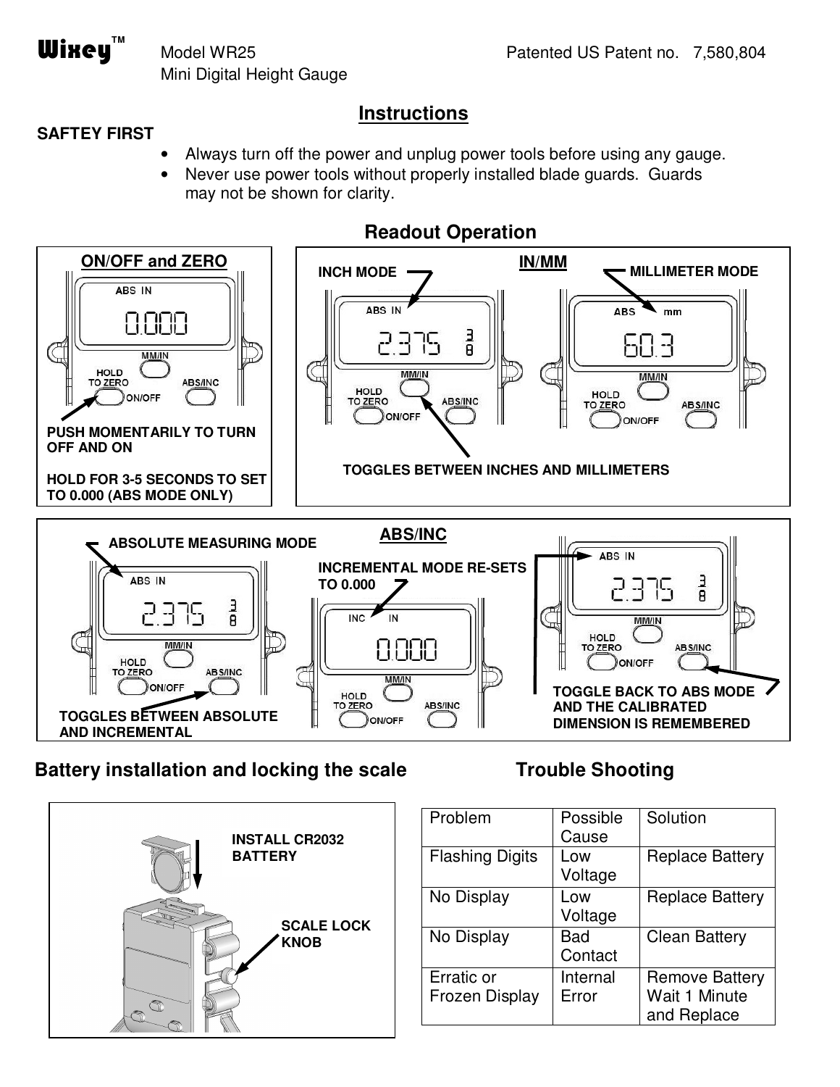Mini Digital Height Gauge

#### **Instructions**

#### **SAFTEY FIRST**

 $\textbf{W}$ **ixey** 

- Always turn off the power and unplug power tools before using any gauge.
- Never use power tools without properly installed blade guards. Guards may not be shown for clarity.



## **Battery installation and locking the scale**



## **Trouble Shooting**

| Problem                             | Possible<br>Cause | Solution                                              |
|-------------------------------------|-------------------|-------------------------------------------------------|
| <b>Flashing Digits</b>              | Low<br>Voltage    | <b>Replace Battery</b>                                |
| No Display                          | Low<br>Voltage    | <b>Replace Battery</b>                                |
| No Display                          | Bad<br>Contact    | <b>Clean Battery</b>                                  |
| Erratic or<br><b>Frozen Display</b> | Internal<br>Error | <b>Remove Battery</b><br>Wait 1 Minute<br>and Replace |